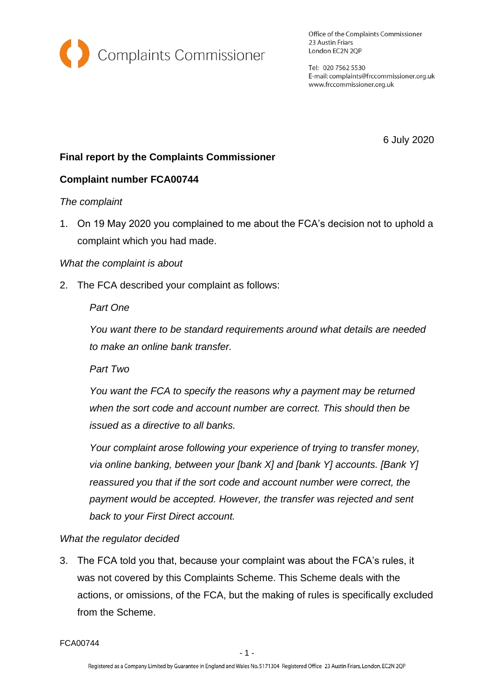

Office of the Complaints Commissioner 23 Austin Friars London EC2N 2QP

Tel: 020 7562 5530 E-mail: complaints@frccommissioner.org.uk www.frccommissioner.org.uk

6 July 2020

# **Final report by the Complaints Commissioner**

### **Complaint number FCA00744**

### *The complaint*

1. On 19 May 2020 you complained to me about the FCA's decision not to uphold a complaint which you had made.

### *What the complaint is about*

2. The FCA described your complaint as follows:

### *Part One*

*You want there to be standard requirements around what details are needed to make an online bank transfer.* 

*Part Two* 

*You want the FCA to specify the reasons why a payment may be returned when the sort code and account number are correct. This should then be issued as a directive to all banks.* 

*Your complaint arose following your experience of trying to transfer money, via online banking, between your [bank X] and [bank Y] accounts. [Bank Y] reassured you that if the sort code and account number were correct, the payment would be accepted. However, the transfer was rejected and sent back to your First Direct account.*

### *What the regulator decided*

3. The FCA told you that, because your complaint was about the FCA's rules, it was not covered by this Complaints Scheme. This Scheme deals with the actions, or omissions, of the FCA, but the making of rules is specifically excluded from the Scheme.

FCA00744